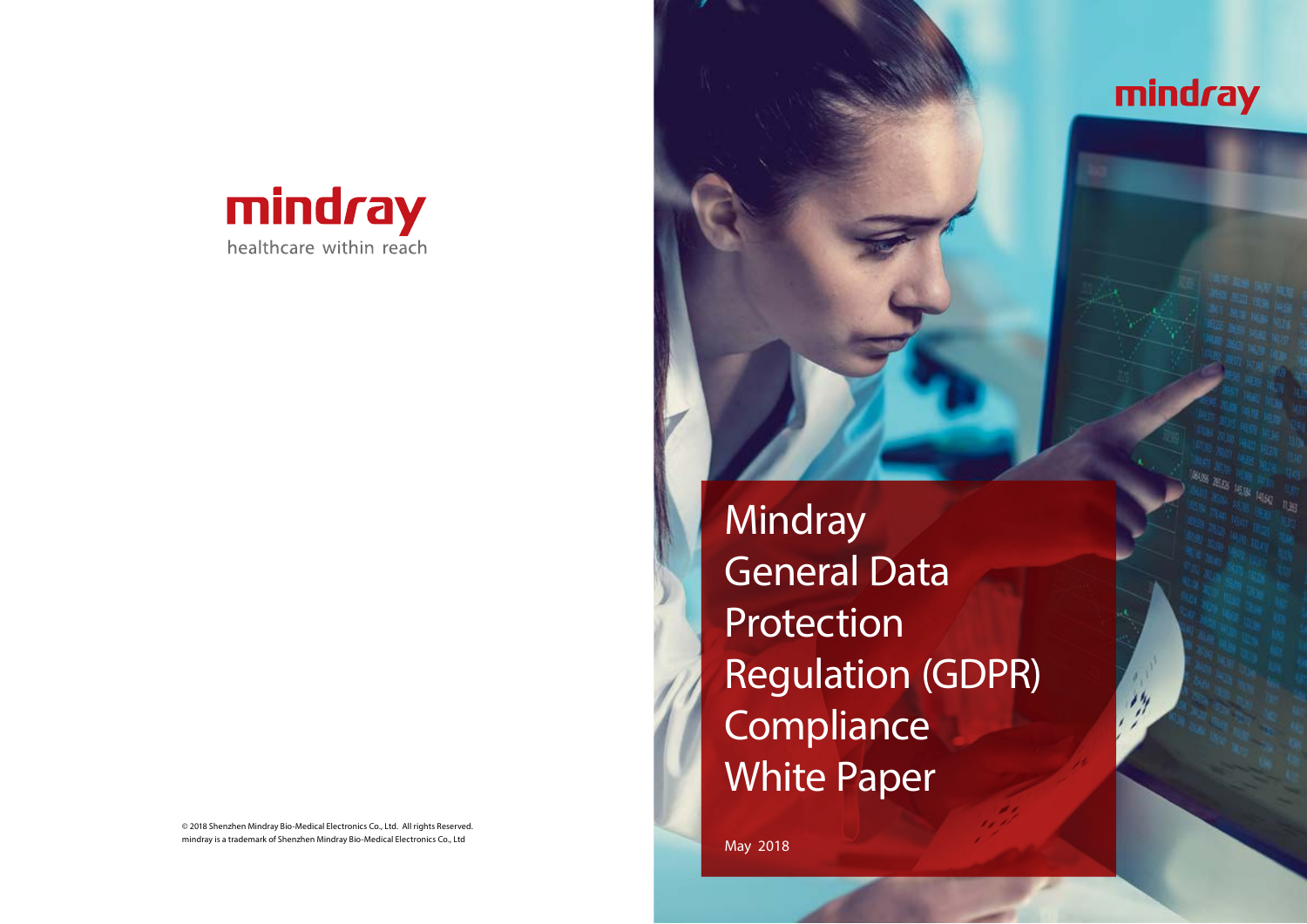© 2018 Shenzhen Mindray Bio-Medical Electronics Co., Ltd. All rights Reserved. mindray is a trademark of Shenzhen Mindray Bio-Medical Electronics Co., Ltd



**Mindray** General Data **Protection** Regulation (GDPR) Compliance White Paper

May 2018



**Aking Allie 18th 18th 18th**<br>18th Allie 19th 19th 19th<br>18th Title 19th 19th 19th

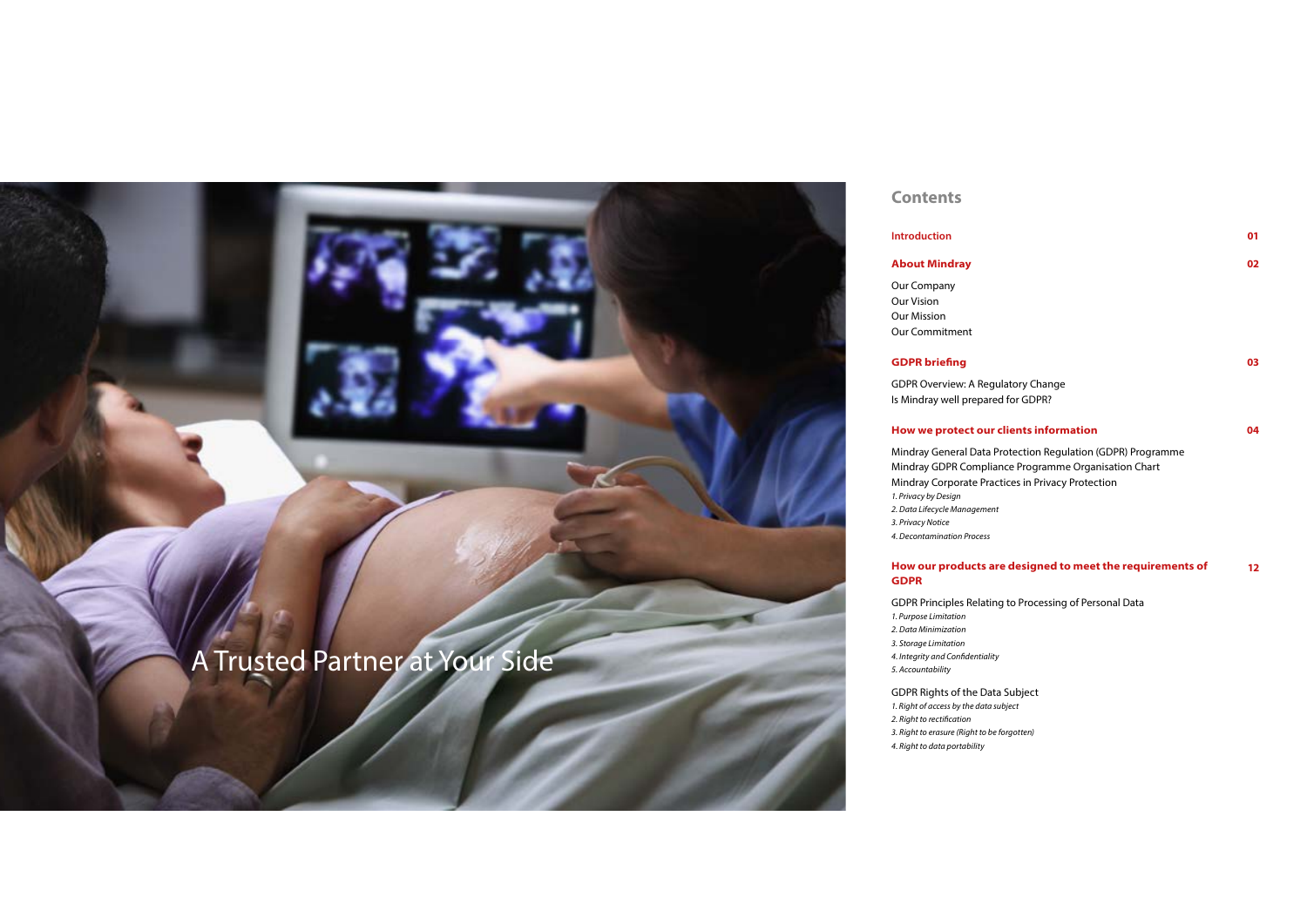

## **Contents**

#### **Introduction**

#### **About Mindray**

Our Company Our Vision Our Mission Our Commitment

## **GDPR briefing**

GDPR Overview: A Reg Is Mindray well prepar

### **How we protect our**

Mindray General Data Mindray GDPR Compli Mindray Corporate Pra *1. Privacy by Design* 2. Data Lifecycle Manageme. *3. Privacy Notice 4. Decontamination Process*

#### **How our products a GDPR**

GDPR Principles Relati *1. Purpose Limitation 2. Data Minimization 3. Storage Limitation 4. Integrity and Confidentiality 5. Accountability*

GDPR Rights of the Data Subject *1. Right of access by the data subject 2. Right to rectification 3. Right to erasure (Right to be forgotten) 4. Right to data portability*

**01**

|                                                                                                               | 02 |
|---------------------------------------------------------------------------------------------------------------|----|
|                                                                                                               |    |
|                                                                                                               | 03 |
| gulatory Change<br>red for GDPR?                                                                              |    |
| <b>r</b> clients information                                                                                  | 04 |
| Protection Regulation (GDPR) Programme<br>iance Programme Organisation Chart<br>actices in Privacy Protection |    |
| ent                                                                                                           |    |
|                                                                                                               |    |
| are designed to meet the requirements of                                                                      | 12 |
| ing to Processing of Personal Data                                                                            |    |
|                                                                                                               |    |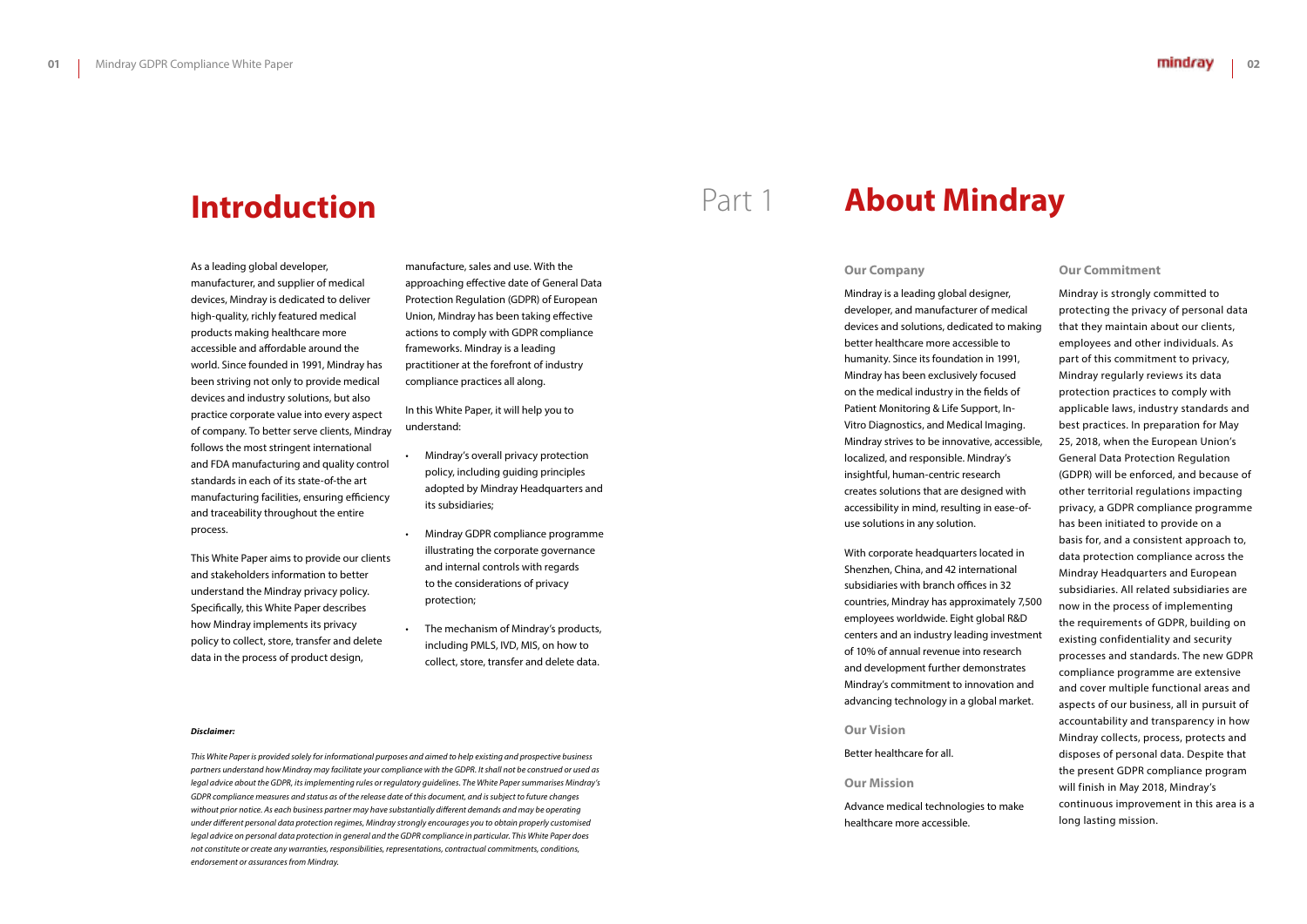As a leading global developer, manufacturer, and supplier of medical devices, Mindray is dedicated to deliver high-quality, richly featured medical products making healthcare more accessible and affordable around the world. Since founded in 1991, Mindray has been striving not only to provide medical devices and industry solutions, but also practice corporate value into every aspect of company. To better serve clients, Mindray follows the most stringent international and FDA manufacturing and quality control standards in each of its state-of-the art manufacturing facilities, ensuring efficiency and traceability throughout the entire process.

This White Paper aims to provide our clients and stakeholders information to better understand the Mindray privacy policy. Specifically, this White Paper describes how Mindray implements its privacy policy to collect, store, transfer and delete data in the process of product design,

manufacture, sales and use. With the approaching effective date of General Data Protection Regulation (GDPR) of European Union, Mindray has been taking effective actions to comply with GDPR compliance frameworks. Mindray is a leading practitioner at the forefront of industry compliance practices all along.

In this White Paper, it will help you to understand:

- Mindray's overall privacy protection policy, including guiding principles adopted by Mindray Headquarters and its subsidiaries;
- Mindray GDPR compliance programme illustrating the corporate governance and internal controls with regards to the considerations of privacy protection;
- The mechanism of Mindray's products, including PMLS, IVD, MIS, on how to collect, store, transfer and delete data.

#### *Disclaimer:*

*This White Paper is provided solely for informational purposes and aimed to help existing and prospective business partners understand how Mindray may facilitate your compliance with the GDPR. It shall not be construed or used as*  legal advice about the GDPR, its implementing rules or regulatory guidelines. The White Paper summarises Mindray's *GDPR compliance measures and status as of the release date of this document, and is subject to future changes without prior notice. As each business partner may have substantially different demands and may be operating under different personal data protection regimes, Mindray strongly encourages you to obtain properly customised*  legal advice on personal data protection in general and the GDPR compliance in particular. This White Paper does *not constitute or create any warranties, responsibilities, representations, contractual commitments, conditions, endorsement or assurances from Mindray.*

## **Introduction**

#### **Our Company**

Mindray is a leading global designer, developer, and manufacturer of medical devices and solutions, dedicated to making better healthcare more accessible to humanity. Since its foundation in 1991, Mindray has been exclusively focused on the medical industry in the fields of Patient Monitoring & Life Support, In-Vitro Diagnostics, and Medical Imaging. Mindray strives to be innovative, accessible, localized, and responsible. Mindray's insightful, human-centric research creates solutions that are designed with accessibility in mind, resulting in ease-ofuse solutions in any solution.

With corporate headquarters located in Shenzhen, China, and 42 international subsidiaries with branch offices in 32 countries, Mindray has approximately 7,500 employees worldwide. Eight global R&D centers and an industry leading investment of 10% of annual revenue into research and development further demonstrates Mindray's commitment to innovation and advancing technology in a global market.

**Our Vision**

Better healthcare for all.

#### **Our Mission**

Advance medical technologies to make healthcare more accessible.

#### **Our Commitment**

Mindray is strongly committed to protecting the privacy of personal data that they maintain about our clients, employees and other individuals. As part of this commitment to privacy, Mindray regularly reviews its data protection practices to comply with applicable laws, industry standards and best practices. In preparation for May 25, 2018, when the European Union's General Data Protection Regulation (GDPR) will be enforced, and because of other territorial regulations impacting privacy, a GDPR compliance programme has been initiated to provide on a basis for, and a consistent approach to, data protection compliance across the Mindray Headquarters and European subsidiaries. All related subsidiaries are now in the process of implementing the requirements of GDPR, building on existing confidentiality and security processes and standards. The new GDPR compliance programme are extensive and cover multiple functional areas and aspects of our business, all in pursuit of accountability and transparency in how Mindray collects, process, protects and disposes of personal data. Despite that the present GDPR compliance program will finish in May 2018, Mindray's continuous improvement in this area is a long lasting mission.

# Part 1 **About Mindray**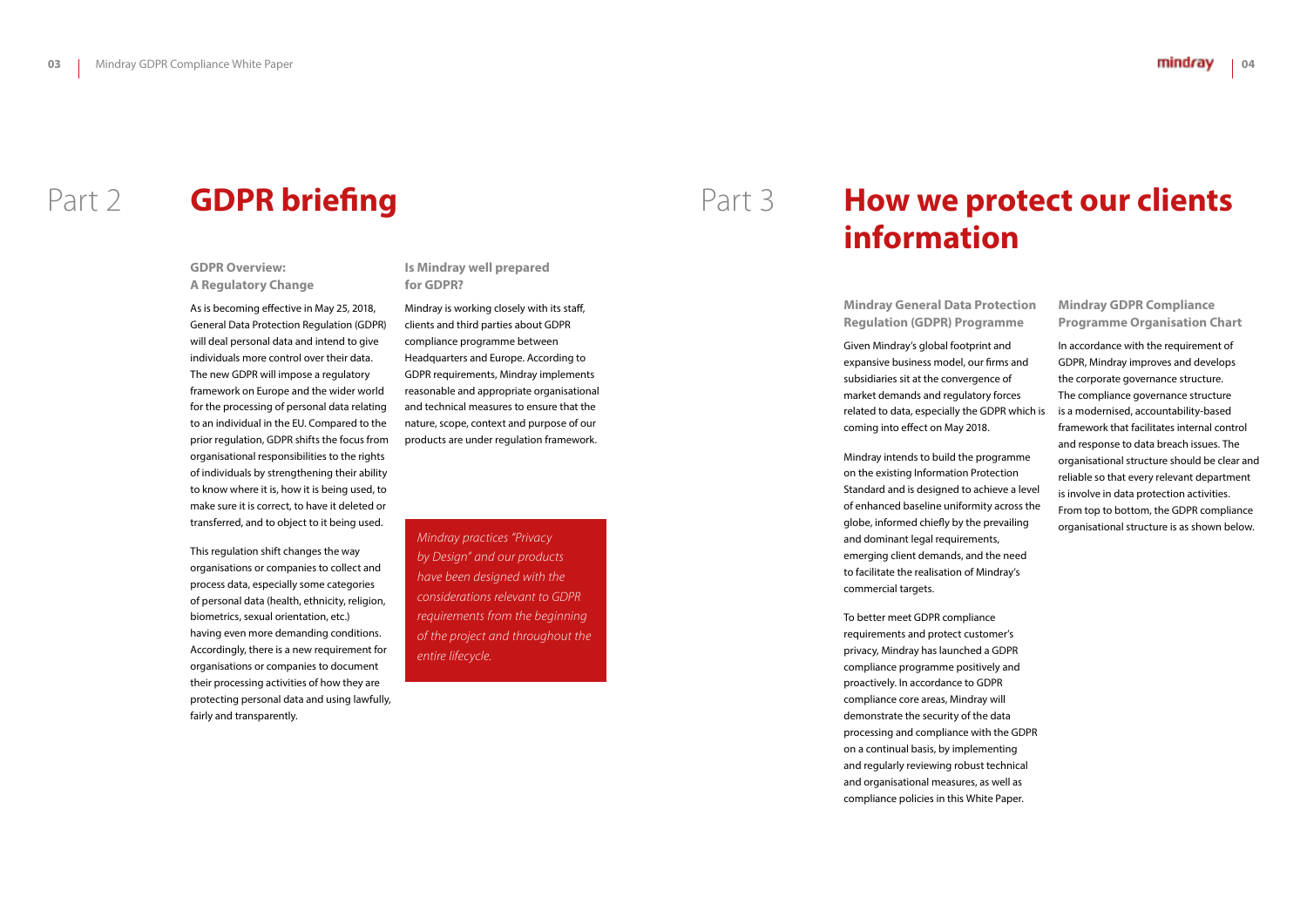## **GDPR Overview: A Regulatory Change**

As is becoming effective in May 25, 2018, General Data Protection Regulation (GDPR) will deal personal data and intend to give individuals more control over their data. The new GDPR will impose a regulatory framework on Europe and the wider world for the processing of personal data relating to an individual in the EU. Compared to the prior regulation, GDPR shifts the focus from organisational responsibilities to the rights of individuals by strengthening their ability to know where it is, how it is being used, to make sure it is correct, to have it deleted or transferred, and to object to it being used.

This regulation shift changes the way organisations or companies to collect and process data, especially some categories of personal data (health, ethnicity, religion, biometrics, sexual orientation, etc.) having even more demanding conditions. Accordingly, there is a new requirement for organisations or companies to document their processing activities of how they are protecting personal data and using lawfully, fairly and transparently.

**Is Mindray well prepared for GDPR?**

Mindray is working closely with its staff, clients and third parties about GDPR compliance programme between Headquarters and Europe. According to GDPR requirements, Mindray implements reasonable and appropriate organisational and technical measures to ensure that the nature, scope, context and purpose of our products are under regulation framework.

# Part 2 **GDPR briefing**

*Mindray practices "Privacy by Design" and our products have been designed with the considerations relevant to GDPR requirements from the beginning of the project and throughout the entire lifecycle.*

**Mindray General Data Protection Regulation (GDPR) Programme**

Given Mindray's global footprint and expansive business model, our firms and subsidiaries sit at the convergence of market demands and regulatory forces related to data, especially the GDPR which is coming into effect on May 2018.

Mindray intends to build the programme on the existing Information Protection Standard and is designed to achieve a level of enhanced baseline uniformity across the globe, informed chiefly by the prevailing and dominant legal requirements, emerging client demands, and the need to facilitate the realisation of Mindray's commercial targets.

To better meet GDPR compliance requirements and protect customer's privacy, Mindray has launched a GDPR compliance programme positively and proactively. In accordance to GDPR compliance core areas, Mindray will demonstrate the security of the data processing and compliance with the GDPR on a continual basis, by implementing and regularly reviewing robust technical and organisational measures, as well as compliance policies in this White Paper.

**Mindray GDPR Compliance Programme Organisation Chart**

In accordance with the requirement of GDPR, Mindray improves and develops the corporate governance structure. The compliance governance structure is a modernised, accountability-based framework that facilitates internal control and response to data breach issues. The organisational structure should be clear and reliable so that every relevant department is involve in data protection activities. From top to bottom, the GDPR compliance organisational structure is as shown below.

# **How we protect our clients information**

# Part 3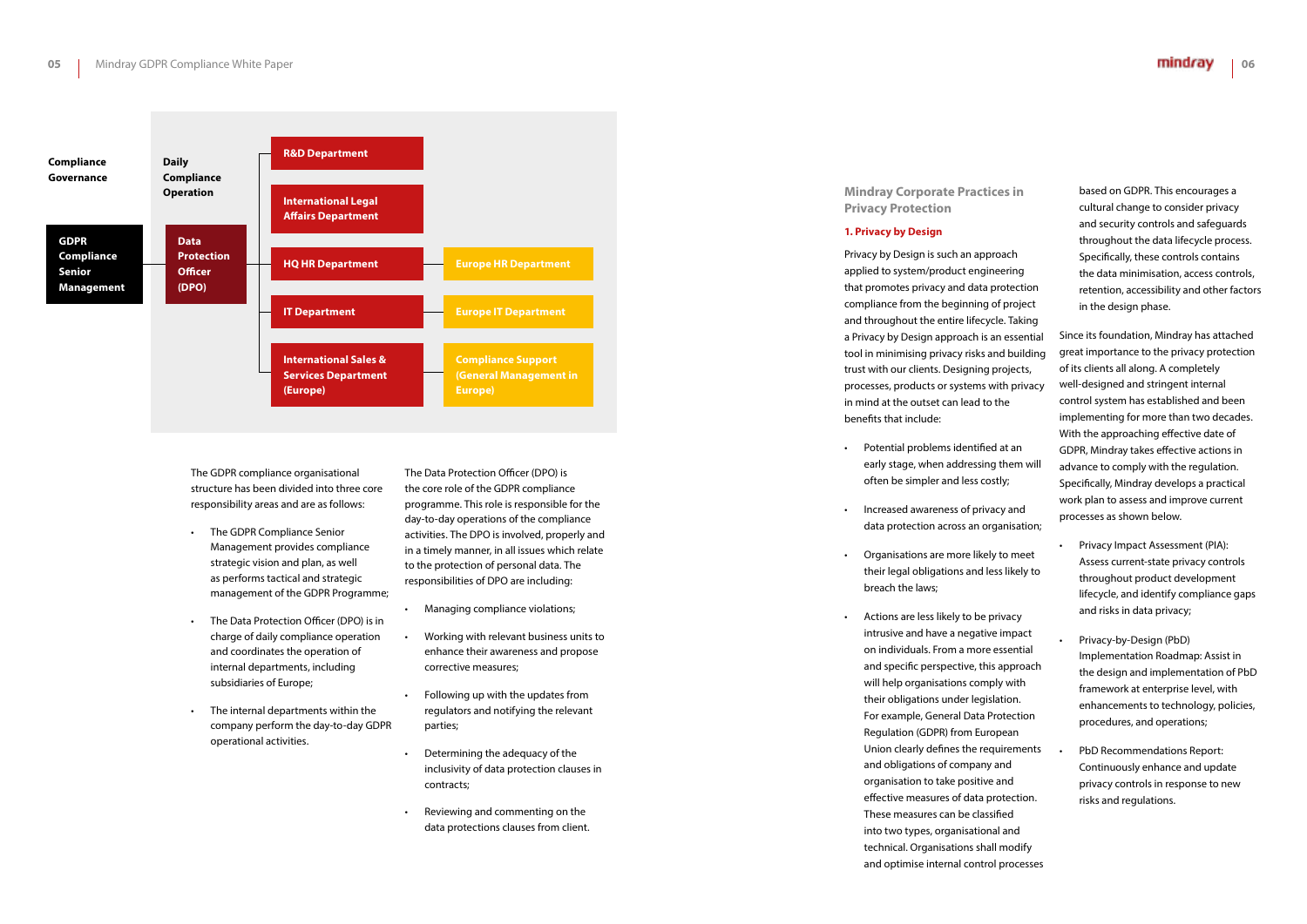The GDPR compliance organisational structure has been divided into three core responsibility areas and are as follows:

- The GDPR Compliance Senior Management provides compliance strategic vision and plan, as well as performs tactical and strategic management of the GDPR Programme;
- The Data Protection Officer (DPO) is in charge of daily compliance operation and coordinates the operation of internal departments, including subsidiaries of Europe;
- The internal departments within the company perform the day-to-day GDPR operational activities.

The Data Protection Officer (DPO) is the core role of the GDPR compliance programme. This role is responsible for the day-to-day operations of the compliance activities. The DPO is involved, properly and in a timely manner, in all issues which relate to the protection of personal data. The responsibilities of DPO are including:

- Managing compliance violations;
- Working with relevant business units to enhance their awareness and propose corrective measures;
- Following up with the updates from regulators and notifying the relevant parties;
- Determining the adequacy of the inclusivity of data protection clauses in contracts;
- Reviewing and commenting on the data protections clauses from client.

**Privacy Protection**

#### **1. Privacy by Design**

Privacy by Design is such an approach applied to system/product engineering that promotes privacy and data protection compliance from the beginning of project and throughout the entire lifecycle. Taking a Privacy by Design approach is an essential tool in minimising privacy risks and building trust with our clients. Designing projects, processes, products or systems with privacy in mind at the outset can lead to the benefits that include:

- Potential problems identified at an early stage, when addressing them will often be simpler and less costly;
- Increased awareness of privacy and data protection across an organisation;
- Organisations are more likely to meet their legal obligations and less likely to breach the laws;
- Actions are less likely to be privacy intrusive and have a negative impact on individuals. From a more essential and specific perspective, this approach will help organisations comply with their obligations under legislation. For example, General Data Protection Regulation (GDPR) from European Union clearly defines the requirements and obligations of company and organisation to take positive and effective measures of data protection. These measures can be classified into two types, organisational and technical. Organisations shall modify and optimise internal control processes



based on GDPR. This encourages a cultural change to consider privacy and security controls and safeguards throughout the data lifecycle process. Specifically, these controls contains the data minimisation, access controls, retention, accessibility and other factors in the design phase.

Since its foundation, Mindray has attached great importance to the privacy protection of its clients all along. A completely well-designed and stringent internal control system has established and been implementing for more than two decades. With the approaching effective date of GDPR, Mindray takes effective actions in advance to comply with the regulation. Specifically, Mindray develops a practical work plan to assess and improve current processes as shown below.

- Privacy Impact Assessment (PIA): Assess current-state privacy controls throughout product development lifecycle, and identify compliance gaps and risks in data privacy;
- Privacy-by-Design (PbD) Implementation Roadmap: Assist in the design and implementation of PbD framework at enterprise level, with enhancements to technology, policies, procedures, and operations;
- PbD Recommendations Report: Continuously enhance and update privacy controls in response to new risks and regulations.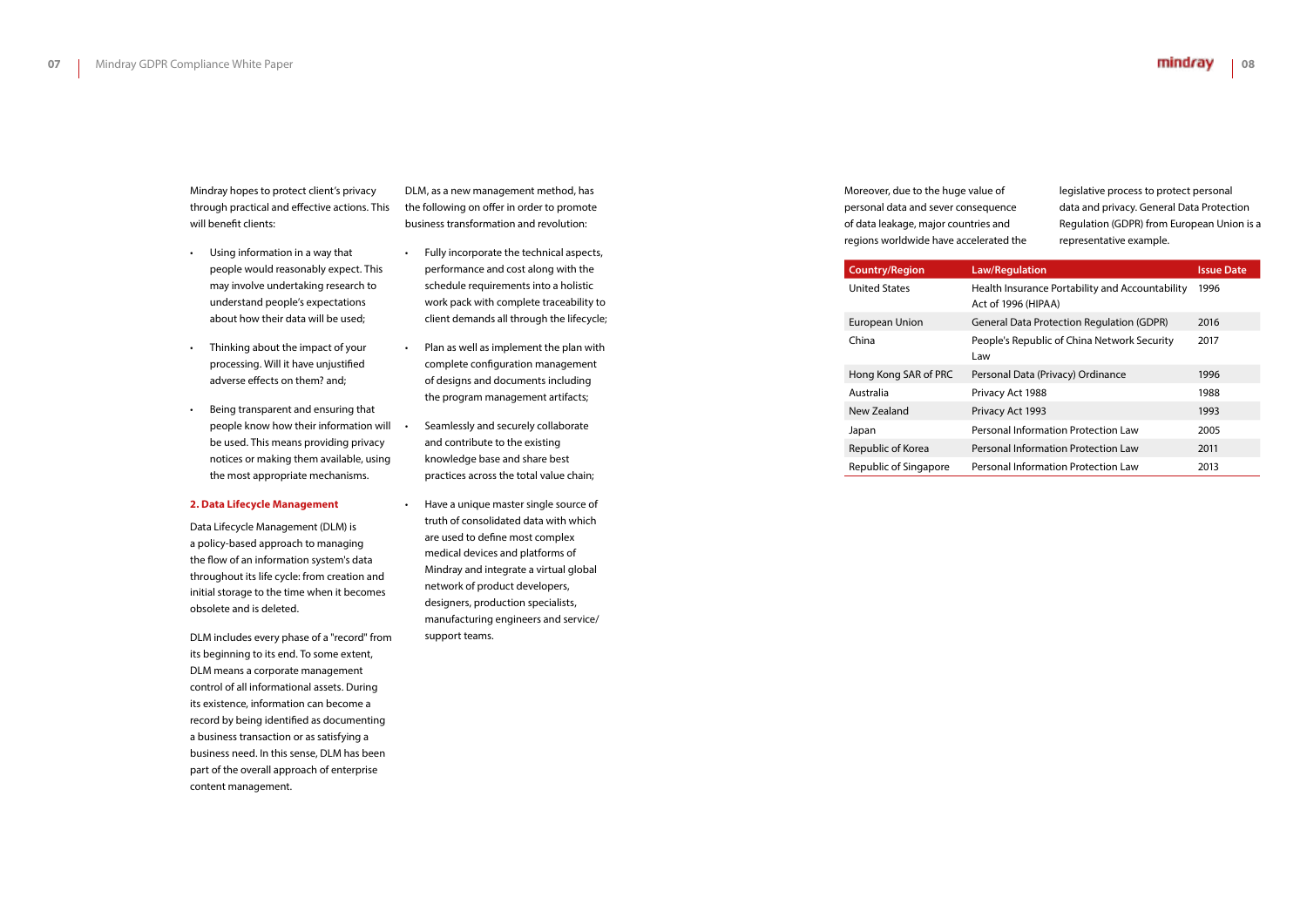Mindray hopes to protect client's privacy through practical and effective actions. This will benefit clients:

- Using information in a way that people would reasonably expect. This may involve undertaking research to understand people's expectations about how their data will be used;
- Thinking about the impact of your processing. Will it have unjustified adverse effects on them? and;
- Being transparent and ensuring that people know how their information will be used. This means providing privacy notices or making them available, using the most appropriate mechanisms.

#### **2. Data Lifecycle Management**

Data Lifecycle Management (DLM) is a policy-based approach to managing the flow of an information system's data throughout its life cycle: from creation and initial storage to the time when it becomes obsolete and is deleted.

DLM includes every phase of a "record" from its beginning to its end. To some extent, DLM means a corporate management control of all informational assets. During its existence, information can become a record by being identified as documenting a business transaction or as satisfying a business need. In this sense, DLM has been part of the overall approach of enterprise content management.

DLM, as a new management method, has the following on offer in order to promote business transformation and revolution:

- Fully incorporate the technical aspects, performance and cost along with the schedule requirements into a holistic work pack with complete traceability to client demands all through the lifecycle;
- Plan as well as implement the plan with complete configuration management of designs and documents including the program management artifacts;
- Seamlessly and securely collaborate and contribute to the existing knowledge base and share best practices across the total value chain;
- Have a unique master single source of truth of consolidated data with which are used to define most complex medical devices and platforms of Mindray and integrate a virtual global network of product developers, designers, production specialists, manufacturing engineers and service/ support teams.

Moreover, due to the huge value personal data and sever conseq of data leakage, major countries regions worldwide have acceler

| e of     | legislative process to protect personal    |
|----------|--------------------------------------------|
| uence    | data and privacy. General Data Protection  |
| s and    | Regulation (GDPR) from European Union is a |
| ated the | representative example.                    |

| <b>Country/Region</b> | <b>Law/Regulation</b>                                                  | <b>Issue Date</b> |
|-----------------------|------------------------------------------------------------------------|-------------------|
| United States         | Health Insurance Portability and Accountability<br>Act of 1996 (HIPAA) | 1996              |
| European Union        | <b>General Data Protection Regulation (GDPR)</b>                       | 2016              |
| China                 | People's Republic of China Network Security<br>Law                     | 2017              |
| Hong Kong SAR of PRC  | Personal Data (Privacy) Ordinance                                      | 1996              |
| Australia             | Privacy Act 1988                                                       | 1988              |
| New Zealand           | Privacy Act 1993                                                       | 1993              |
| Japan                 | Personal Information Protection Law                                    | 2005              |
| Republic of Korea     | Personal Information Protection Law                                    | 2011              |
| Republic of Singapore | Personal Information Protection Law                                    | 2013              |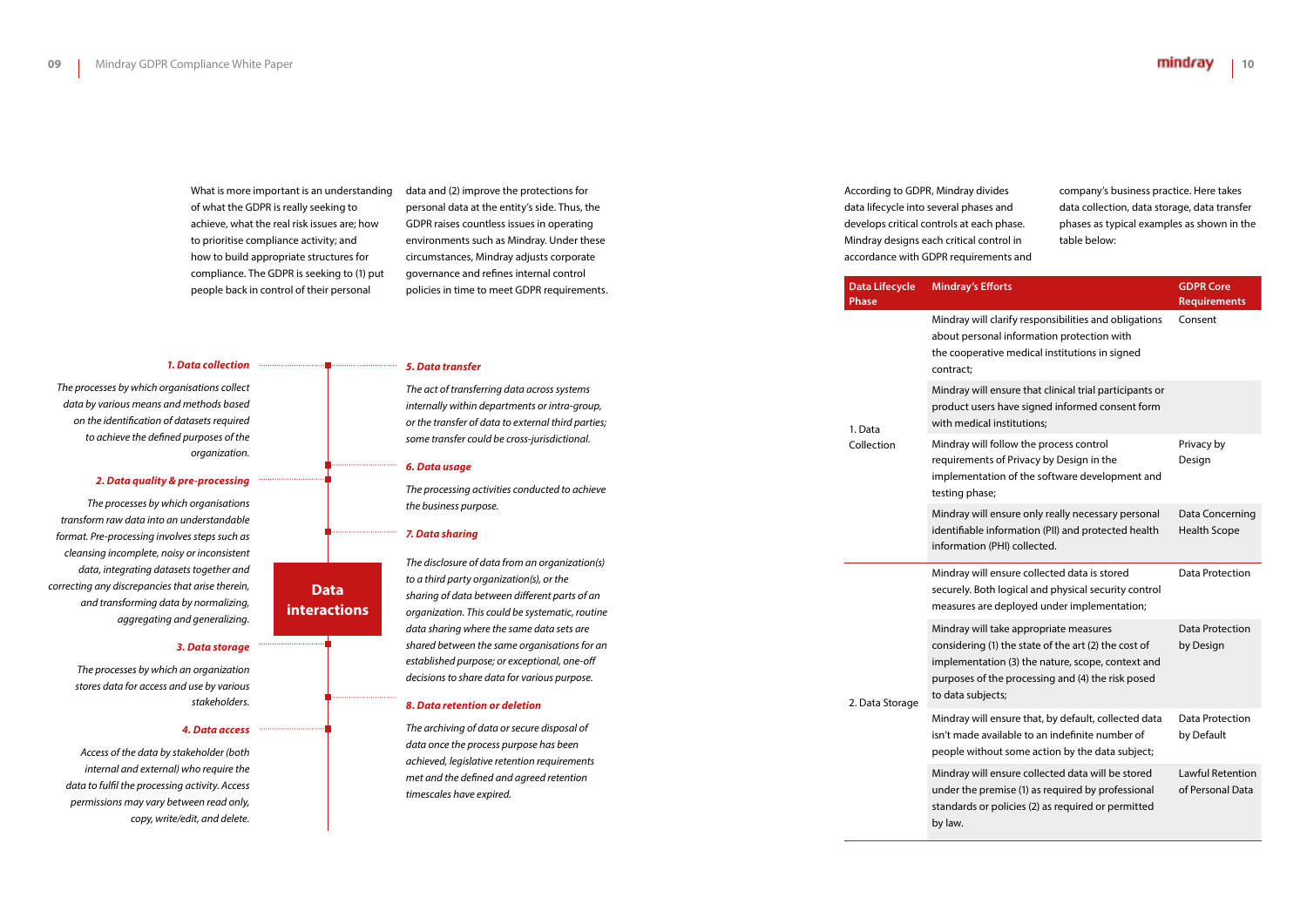What is more important is an understanding of what the GDPR is really seeking to achieve, what the real risk issues are; how to prioritise compliance activity; and how to build appropriate structures for compliance. The GDPR is seeking to (1) put people back in control of their personal

data and (2) improve the protections for personal data at the entity's side. Thus, the GDPR raises countless issues in operating environments such as Mindray. Under these circumstances, Mindray adjusts corporate governance and refines internal control policies in time to meet GDPR requirements.

#### *1. Data collection*

*The processes by which organisations collect data by various means and methods based on the identification of datasets required to achieve the defined purposes of the organization.*

#### *2. Data quality & pre-processing*

*The processes by which organisations transform raw data into an understandable format. Pre-processing involves steps such as cleansing incomplete, noisy or inconsistent data, integrating datasets together and correcting any discrepancies that arise therein, and transforming data by normalizing, aggregating and generalizing.*

#### *3. Data storage*

*The processes by which an organization stores data for access and use by various stakeholders.*

#### *4. Data access*

### **Phase** 1. Data Collection Mindray will about perso the cooperat contract; Mindray will product use with medica Mindray will requirement implementat testing phas Mindray wil

*Access of the data by stakeholder (both internal and external) who require the data to fulfil the processing activity. Access permissions may vary between read only, copy, write/edit, and delete.*

#### *5. Data transfer*

*The act of transferring data across systems internally within departments or intra-group, or the transfer of data to external third parties; some transfer could be cross-jurisdictional.*

#### *6. Data usage*

*The processing activities conducted to achieve the business purpose.*

#### *7. Data sharing*

*The disclosure of data from an organization(s) to a third party organization(s), or the sharing of data between different parts of an organization. This could be systematic, routine data sharing where the same data sets are shared between the same organisations for an established purpose; or exceptional, one-off decisions to share data for various purpose.*

> under the p standards o by law.

#### *8. Data retention or deletion*

*The archiving of data or secure disposal of data once the process purpose has been achieved, legislative retention requirements met and the defined and agreed retention timescales have expired.*

According to GDPR, Mindray div data lifecycle into several phase develops critical controls at each Mindray designs each critical co accordance with GDPR requiren

## **Data interactions**

company's business practice. Here takes data collection, data storage, data transfer phases as typical examples as shown in the table below:

2. Data Storage

| <b>Data Lifecycle</b> | <b>Mindray's Efforts</b>                                                                                                                                                                                                                                                                                                                                                                                                                                                                                                                                                                                                                                                                                                                                                                                                                                                      | <b>GDPR Core</b>                       |
|-----------------------|-------------------------------------------------------------------------------------------------------------------------------------------------------------------------------------------------------------------------------------------------------------------------------------------------------------------------------------------------------------------------------------------------------------------------------------------------------------------------------------------------------------------------------------------------------------------------------------------------------------------------------------------------------------------------------------------------------------------------------------------------------------------------------------------------------------------------------------------------------------------------------|----------------------------------------|
| <b>Phase</b>          | Mindray will clarify responsibilities and obligations                                                                                                                                                                                                                                                                                                                                                                                                                                                                                                                                                                                                                                                                                                                                                                                                                         | <b>Requirements</b><br>Consent         |
|                       | about personal information protection with                                                                                                                                                                                                                                                                                                                                                                                                                                                                                                                                                                                                                                                                                                                                                                                                                                    |                                        |
|                       | the cooperative medical institutions in signed<br>contract;                                                                                                                                                                                                                                                                                                                                                                                                                                                                                                                                                                                                                                                                                                                                                                                                                   |                                        |
| 1. Data               | Mindray will ensure that clinical trial participants or<br>product users have signed informed consent form<br>with medical institutions;<br>Mindray will follow the process control<br>Privacy by<br>requirements of Privacy by Design in the<br>Design<br>implementation of the software development and<br>testing phase;<br>Mindray will ensure only really necessary personal<br>identifiable information (PII) and protected health<br>information (PHI) collected.<br>Mindray will ensure collected data is stored<br>securely. Both logical and physical security control<br>measures are deployed under implementation;<br>Mindray will take appropriate measures<br>considering (1) the state of the art (2) the cost of<br>by Design<br>implementation (3) the nature, scope, context and<br>purposes of the processing and (4) the risk posed<br>to data subjects; |                                        |
| Collection            |                                                                                                                                                                                                                                                                                                                                                                                                                                                                                                                                                                                                                                                                                                                                                                                                                                                                               |                                        |
|                       |                                                                                                                                                                                                                                                                                                                                                                                                                                                                                                                                                                                                                                                                                                                                                                                                                                                                               | Data Concerning<br><b>Health Scope</b> |
|                       |                                                                                                                                                                                                                                                                                                                                                                                                                                                                                                                                                                                                                                                                                                                                                                                                                                                                               | Data Protection                        |
| 2. Data Storage       |                                                                                                                                                                                                                                                                                                                                                                                                                                                                                                                                                                                                                                                                                                                                                                                                                                                                               | Data Protection                        |
|                       | Mindray will ensure that, by default, collected data<br>isn't made available to an indefinite number of<br>people without some action by the data subject;                                                                                                                                                                                                                                                                                                                                                                                                                                                                                                                                                                                                                                                                                                                    | Data Protection<br>by Default          |
|                       | Mindray will ensure collected data will be stored<br>under the premise (1) as required by professional<br>standards or policies (2) as required or permitted<br>hv Low                                                                                                                                                                                                                                                                                                                                                                                                                                                                                                                                                                                                                                                                                                        | Lawful Retention<br>of Personal Data   |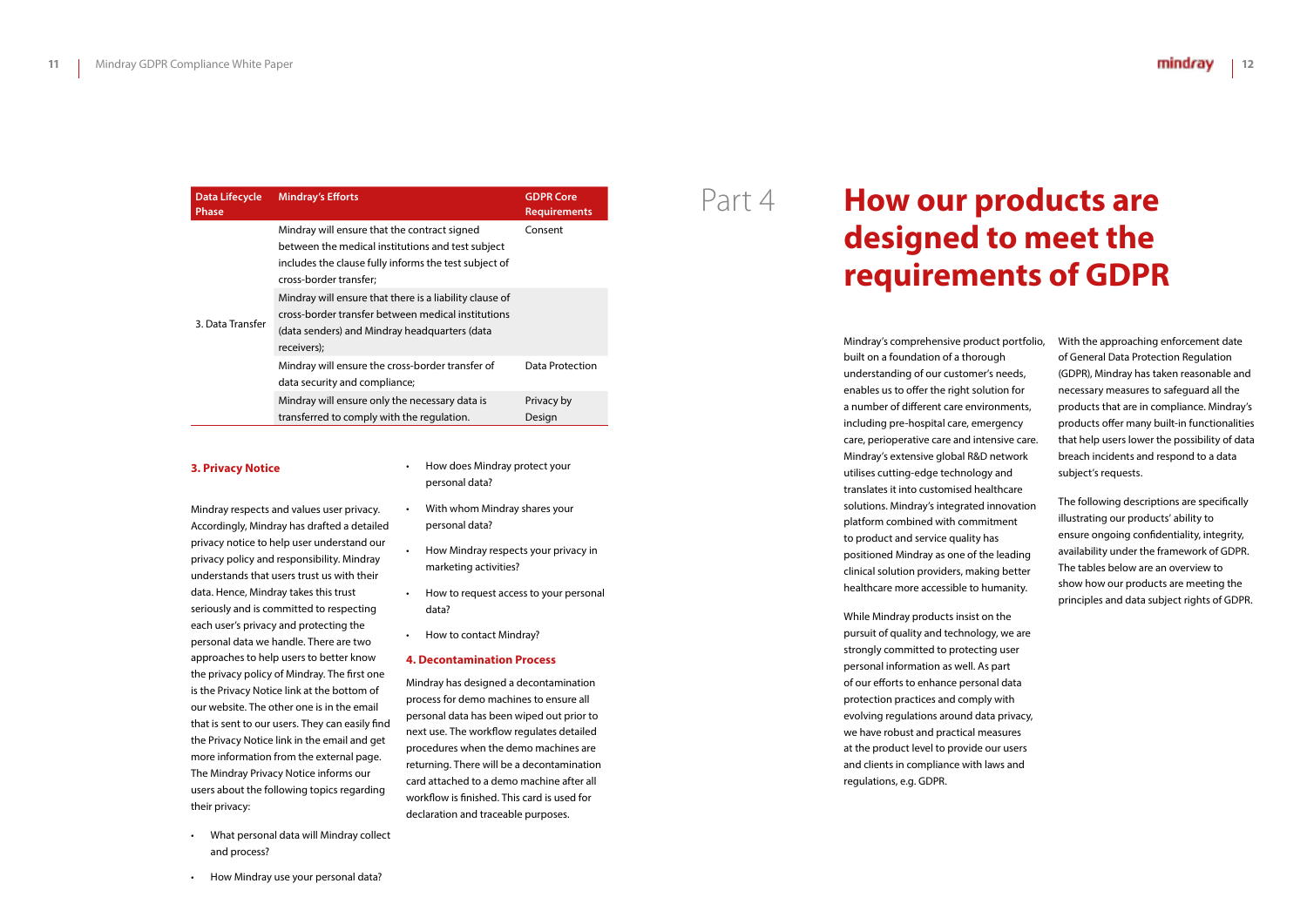| <b>Data Lifecycle</b><br><b>Phase</b> | <b>Mindray's Efforts</b>                                                                                                                                                             | <b>GDPR Core</b><br><b>Requirements</b> |
|---------------------------------------|--------------------------------------------------------------------------------------------------------------------------------------------------------------------------------------|-----------------------------------------|
|                                       | Mindray will ensure that the contract signed<br>between the medical institutions and test subject<br>includes the clause fully informs the test subject of<br>cross-border transfer; | Consent                                 |
| 3. Data Transfer                      | Mindray will ensure that there is a liability clause of<br>cross-border transfer between medical institutions<br>(data senders) and Mindray headquarters (data<br>receivers);        |                                         |
|                                       | Mindray will ensure the cross-border transfer of<br>data security and compliance;                                                                                                    | Data Protection                         |
|                                       | Mindray will ensure only the necessary data is<br>transferred to comply with the regulation.                                                                                         | Privacy by<br>Design                    |

#### **3. Privacy Notice**

Mindray respects and values user privacy. Accordingly, Mindray has drafted a detailed privacy notice to help user understand our privacy policy and responsibility. Mindray understands that users trust us with their data. Hence, Mindray takes this trust seriously and is committed to respecting each user's privacy and protecting the personal data we handle. There are two approaches to help users to better know the privacy policy of Mindray. The first one is the Privacy Notice link at the bottom of our website. The other one is in the email that is sent to our users. They can easily find the Privacy Notice link in the email and get more information from the external page. The Mindray Privacy Notice informs our users about the following topics regarding their privacy:

• What personal data will Mindray collect and process?

• How Mindray use your personal data?

- How does Mindray protect your personal data?
- With whom Mindray shares your personal data?
- How Mindray respects your privacy in marketing activities?
- How to request access to your personal data?
- How to contact Mindray?

#### **4. Decontamination Process**

Mindray has designed a decontamination process for demo machines to ensure all personal data has been wiped out prior to next use. The workflow regulates detailed procedures when the demo machines are returning. There will be a decontamination card attached to a demo machine after all workflow is finished. This card is used for declaration and traceable purposes.

Mindray's comprehensive product portfolio, built on a foundation of a thorough understanding of our customer's needs, enables us to offer the right solution for a number of different care environments, including pre-hospital care, emergency care, perioperative care and intensive care. Mindray's extensive global R&D network utilises cutting-edge technology and translates it into customised healthcare solutions. Mindray's integrated innovation platform combined with commitment to product and service quality has positioned Mindray as one of the leading clinical solution providers, making better healthcare more accessible to humanity.

While Mindray products insist on the pursuit of quality and technology, we are strongly committed to protecting user personal information as well. As part of our efforts to enhance personal data protection practices and comply with evolving regulations around data privacy, we have robust and practical measures at the product level to provide our users and clients in compliance with laws and regulations, e.g. GDPR.

With the approaching enforcement date of General Data Protection Regulation (GDPR), Mindray has taken reasonable and necessary measures to safeguard all the products that are in compliance. Mindray's products offer many built-in functionalities that help users lower the possibility of data breach incidents and respond to a data subject's requests.

The following descriptions are specifically illustrating our products' ability to ensure ongoing confidentiality, integrity, availability under the framework of GDPR. The tables below are an overview to show how our products are meeting the principles and data subject rights of GDPR.

# **How our products are designed to meet the requirements of GDPR**

## Part 4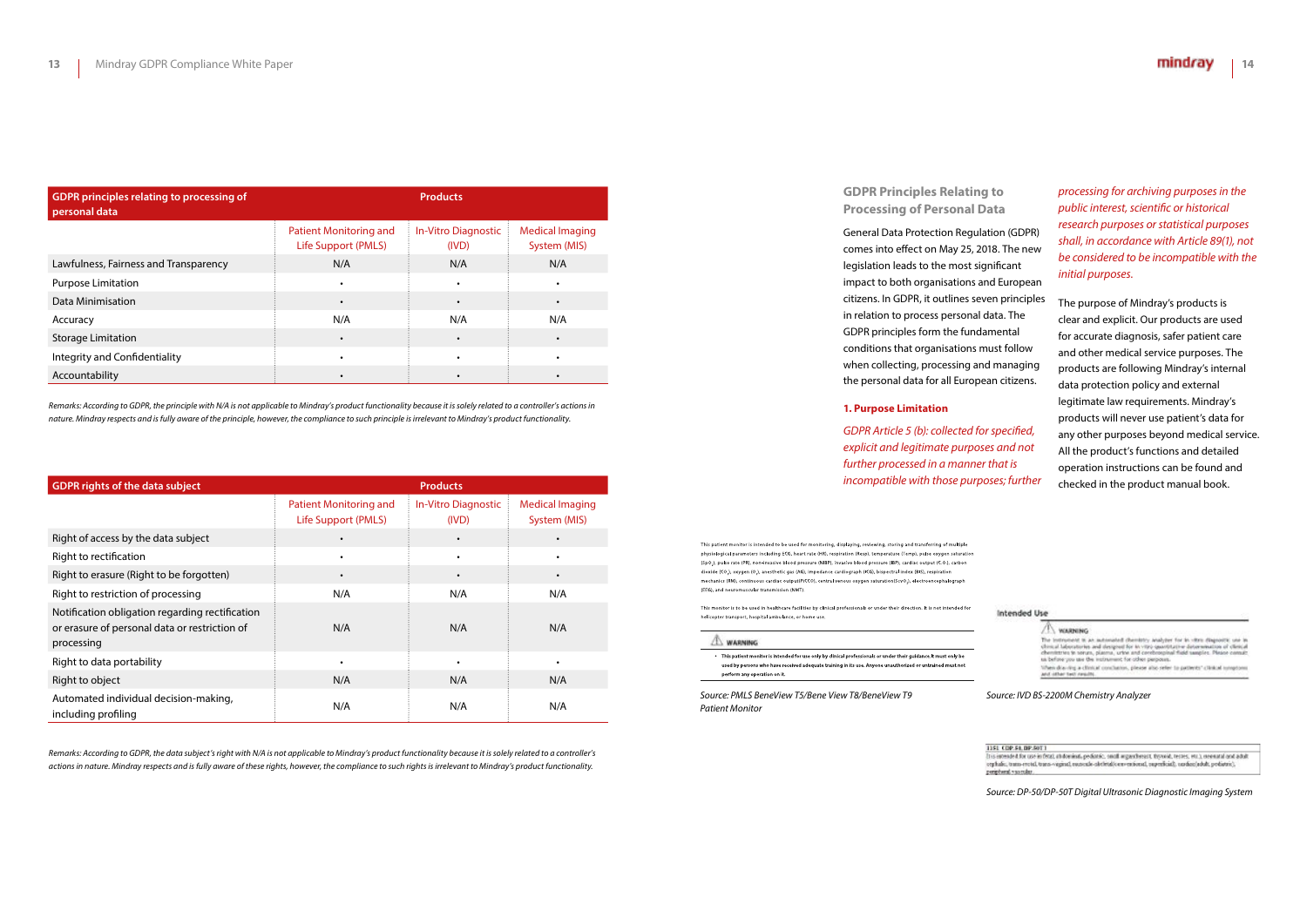| <b>GDPR principles relating to processing of</b><br>personal data |                                                      | <b>Products</b>              |                                        |
|-------------------------------------------------------------------|------------------------------------------------------|------------------------------|----------------------------------------|
|                                                                   | <b>Patient Monitoring and</b><br>Life Support (PMLS) | In-Vitro Diagnostic<br>(IVD) | <b>Medical Imaging</b><br>System (MIS) |
| Lawfulness, Fairness and Transparency                             | N/A                                                  | N/A                          | N/A                                    |
| <b>Purpose Limitation</b>                                         | $\bullet$                                            | $\bullet$                    | $\bullet$                              |
| Data Minimisation                                                 | $\bullet$                                            | $\bullet$                    | $\bullet$                              |
| Accuracy                                                          | N/A                                                  | N/A                          | N/A                                    |
| <b>Storage Limitation</b>                                         |                                                      | $\bullet$                    |                                        |
| Integrity and Confidentiality                                     | $\bullet$                                            | $\bullet$                    | ٠                                      |
| Accountability                                                    |                                                      |                              |                                        |

*Remarks: According to GDPR, the principle with N/A is not applicable to Mindray's product functionality because it is solely related to a controller's actions in nature. Mindray respects and is fully aware of the principle, however, the compliance to such principle is irrelevant to Mindray's product functionality.*

| <b>GDPR rights of the data subject</b>                                                                         |                                                      | <b>Products</b>                     |                                        |
|----------------------------------------------------------------------------------------------------------------|------------------------------------------------------|-------------------------------------|----------------------------------------|
|                                                                                                                | <b>Patient Monitoring and</b><br>Life Support (PMLS) | <b>In-Vitro Diagnostic</b><br>(IVD) | <b>Medical Imaging</b><br>System (MIS) |
| Right of access by the data subject                                                                            |                                                      |                                     |                                        |
| Right to rectification                                                                                         | $\bullet$                                            | $\bullet$                           |                                        |
| Right to erasure (Right to be forgotten)                                                                       | $\bullet$                                            | $\bullet$                           |                                        |
| Right to restriction of processing                                                                             | N/A                                                  | N/A                                 | N/A                                    |
| Notification obligation regarding rectification<br>or erasure of personal data or restriction of<br>processing | N/A                                                  | N/A                                 | N/A                                    |
| Right to data portability                                                                                      |                                                      |                                     |                                        |
| Right to object                                                                                                | N/A                                                  | N/A                                 | N/A                                    |
| Automated individual decision-making,<br>including profiling                                                   | N/A                                                  | N/A                                 | N/A                                    |

*Remarks: According to GDPR, the data subject's right with N/A is not applicable to Mindray's product functionality because it is solely related to a controller's actions in nature. Mindray respects and is fully aware of these rights, however, the compliance to such rights is irrelevant to Mindray's product functionality.*

**GDPR Principles Relating to Processing of Personal Data**

General Data Protection Regulation (GDPR) comes into effect on May 25, 2018. The new legislation leads to the most significant impact to both organisations and European citizens. In GDPR, it outlines seven principles in relation to process personal data. The GDPR principles form the fundamental conditions that organisations must follow when collecting, processing and managing the personal data for all European citizens.

#### **1. Purpose Limitation**

*GDPR Article 5 (b): collected for specified, explicit and legitimate purposes and not further processed in a manner that is incompatible with those purposes; further* 

This patient monitor is intended to be used for monitoring, displaying, reviewing, storing and transferring of multiple physiological parameters including ECG, heart rate (HR), respiration (Resp), temperature (Temp), pulse oxygen sa (SpQ.), pulse rate (PR), non-invasive blood pressure (NIBP), invasive blood pressure (IBP), cardiac output (C.Q.), carbon dioxide (CO,), oxygen (O,), anesthetic gas (AG), impedance cardiograph (ICG), bispectral index (BIS), respiration mechanics (RM), continuous cardiac output(PiCCO), central venous oxygen saturation(ScvO.), electroencephalograph (EEG), and neuromuscular transmission (NMT).

This monitor is to be used in healthcare facilities by clinical professionals or under their direction. It is not intended for helicopter transport, hospital ambulance, or home use.

A WARNING

• This patient monitor is intended for use only by clinical professionals or under their guidance. It must only be used by persons who have received adequate training in its use. Anyone unauthorized or untrained must not perform any operation on it.

*processing for archiving purposes in the public interest, scientific or historical research purposes or statistical purposes shall, in accordance with Article 89(1), not be considered to be incompatible with the initial purposes.*

The purpose of Mindray's products is clear and explicit. Our products are used for accurate diagnosis, safer patient care and other medical service purposes. The products are following Mindray's internal data protection policy and external legitimate law requirements. Mindray's products will never use patient's data for any other purposes beyond medical service. All the product's functions and detailed operation instructions can be found and checked in the product manual book.

#### Intended Use

 $\bigwedge$  vousneng The instrument is an automated chemistry analyzer for in vitro diagonity, one in channel Messurius and designed for in vitro quantitative determination of cliental chemistra in series, planes, we can conclude the series o When doming a clinical conclusion, please also refer to pattering clinical symptom and other two nearly.

*Source: PMLS BeneView T5/Bene View T8/BeneView T9 Patient Monitor*

*Source: IVD BS-2200M Chemistry Analyzer*

1151 CDP.54, DP.50T1

is intended for use in fittal, at dominal, pediatric, small arguedness t. thywid, testes, etc.), revenant and adult orghalic, trans-rectal, trans-vaginal, numeals-abrietal/ocuventional, superficial), cardiac/adult, preliatris), peripheral vascular.

*Source: DP-50/DP-50T Digital Ultrasonic Diagnostic Imaging System*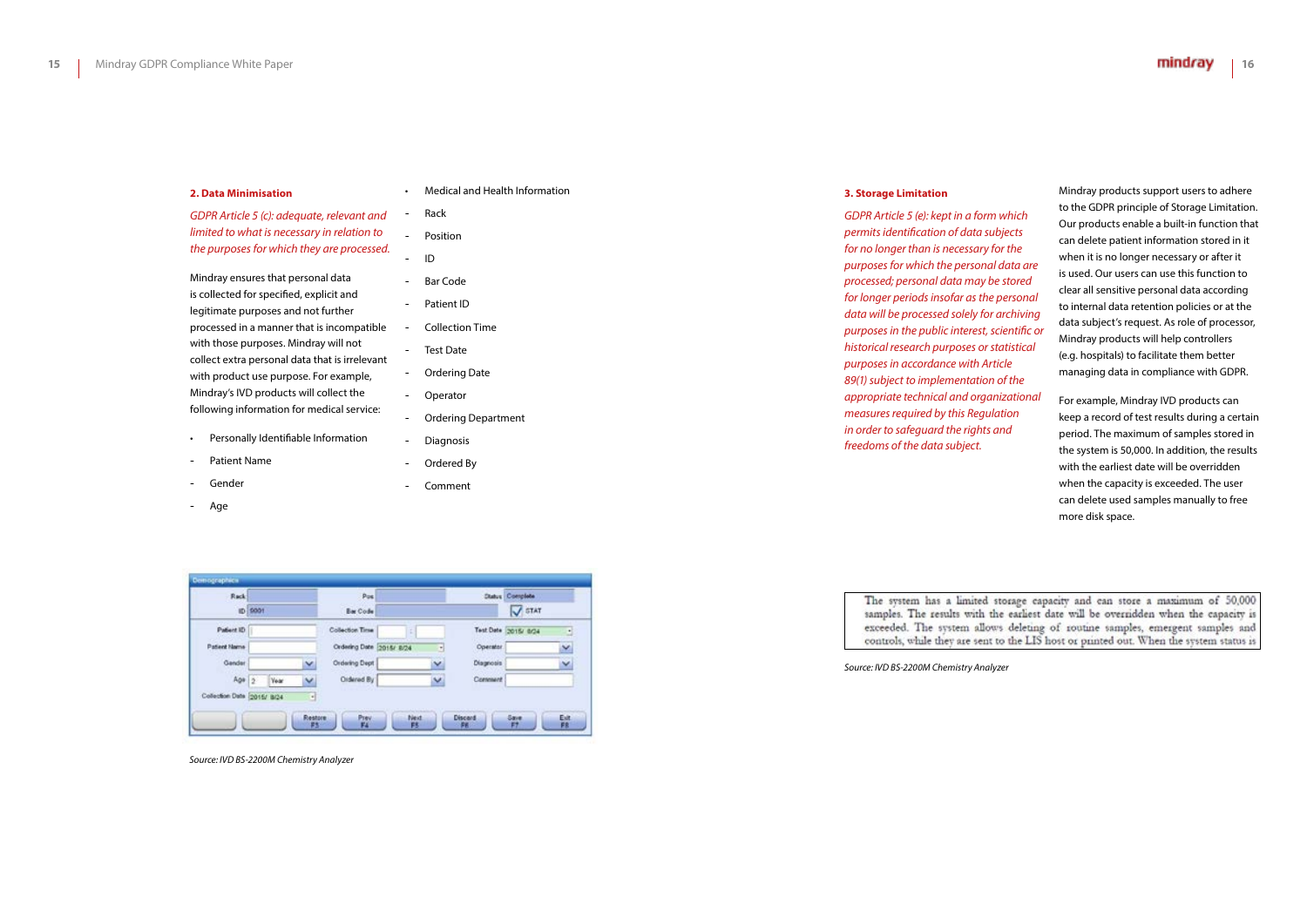#### **2. Data Minimisation**

*GDPR Article 5 (c): adequate, relevant and limited to what is necessary in relation to the purposes for which they are processed.*

Mindray ensures that personal data is collected for specified, explicit and legitimate purposes and not further processed in a manner that is incompatible with those purposes. Mindray will not collect extra personal data that is irrelevant with product use purpose. For example, Mindray's IVD products will collect the following information for medical service:

- Personally Identifiable Information
- Patient Name
- Gender
- Age

• Medical and Health Information

- Rack
	- Position
- ID
- Bar Code
- Patient ID
- Collection Time
- Test Date
- Ordering Date
- Operator
- Ordering Department
- Diagnosis
- Ordered By
- Comment

*Source: IVD BS-2200M Chemistry Analyzer*

#### **3. Storage Limitation**

*GDPR Article 5 (e): kept in a form which permits identification of data subjects for no longer than is necessary for the purposes for which the personal data are processed; personal data may be stored for longer periods insofar as the personal data will be processed solely for archiving purposes in the public interest, scientific or historical research purposes or statistical purposes in accordance with Article 89(1) subject to implementation of the appropriate technical and organizational measures required by this Regulation in order to safeguard the rights and freedoms of the data subject.*

| Rack                       | ID 5001 |             |    | Pos<br><b>Bar Code</b>   |   |           | <b>Clubre Complete</b><br>STAT |   |
|----------------------------|---------|-------------|----|--------------------------|---|-----------|--------------------------------|---|
| Patient ID                 |         |             |    | Collection Time          |   |           | Test Date 2015/ 0/24           | в |
| Patient Name               |         |             |    | Ordering Date 2015/ 8/24 | 히 | Operator  |                                | Y |
| Gander                     |         |             | v  | Ordering Dept            | v | Diagnosis |                                | v |
| $A\Omega^*$ 2              |         | <b>Year</b> | v  | Oldered By               | v | Comment   |                                |   |
| Collection Date 2015/ 8/24 |         |             | ۰ſ |                          |   |           |                                |   |

The system has a limited storage capacity and can store a maximum of 50,000 samples. The results with the earliest date will be overridden when the capacity is exceeded. The system allows deleting of routine samples, emergent samples and controls, while they are sent to the LIS host or printed out. When the system status is

Mindray products support users to adhere to the GDPR principle of Storage Limitation. Our products enable a built-in function that can delete patient information stored in it when it is no longer necessary or after it is used. Our users can use this function to clear all sensitive personal data according to internal data retention policies or at the data subject's request. As role of processor, Mindray products will help controllers (e.g. hospitals) to facilitate them better managing data in compliance with GDPR.

For example, Mindray IVD products can keep a record of test results during a certain period. The maximum of samples stored in the system is 50,000. In addition, the results with the earliest date will be overridden when the capacity is exceeded. The user can delete used samples manually to free more disk space.

*Source: IVD BS-2200M Chemistry Analyzer*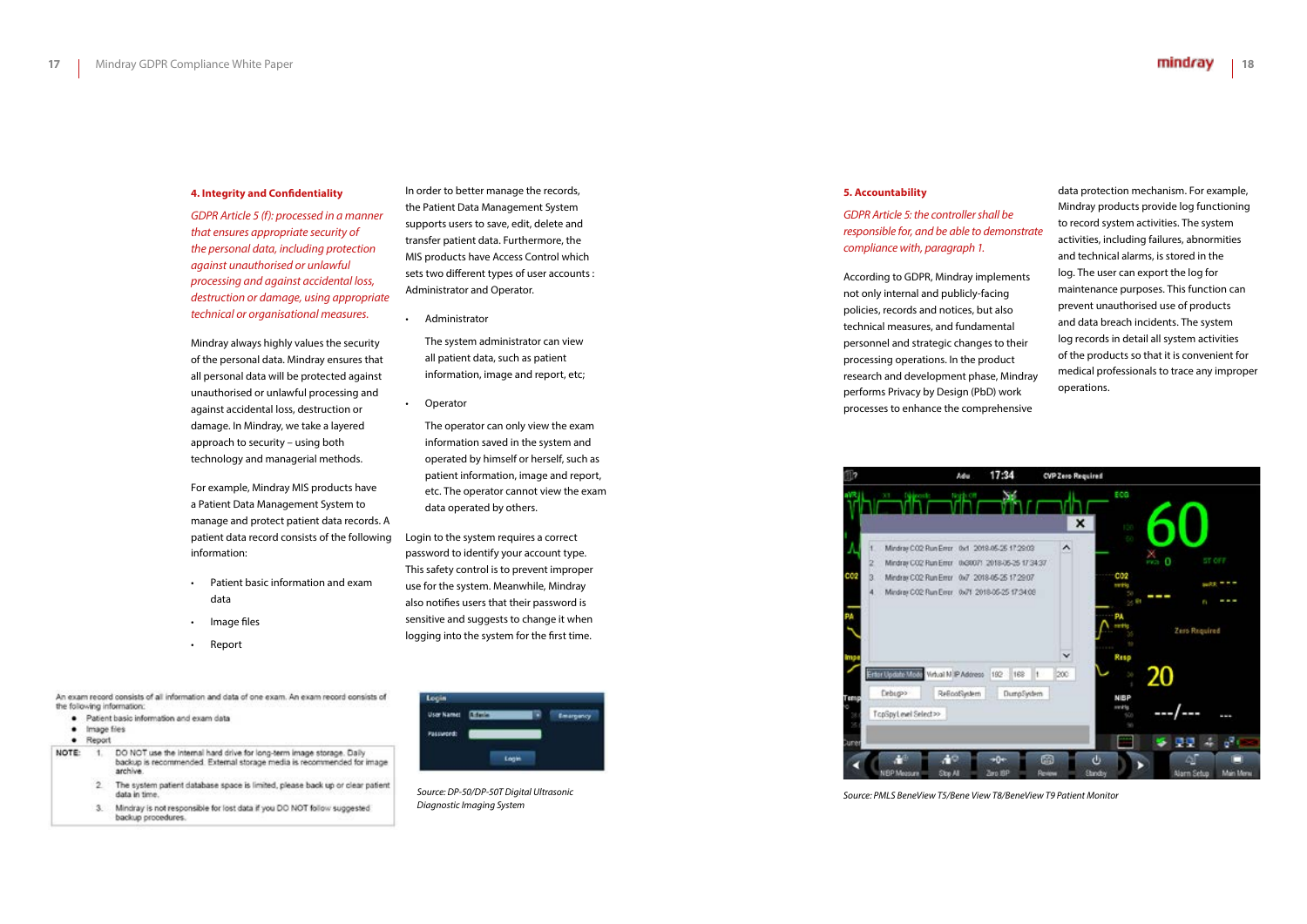#### **4. Integrity and Confidentiality**

*GDPR Article 5 (f): processed in a manner that ensures appropriate security of the personal data, including protection against unauthorised or unlawful processing and against accidental loss, destruction or damage, using appropriate technical or organisational measures.*

Mindray always highly values the security of the personal data. Mindray ensures that all personal data will be protected against unauthorised or unlawful processing and against accidental loss, destruction or damage. In Mindray, we take a layered approach to security – using both technology and managerial methods.

For example, Mindray MIS products have a Patient Data Management System to manage and protect patient data records. A patient data record consists of the following information:

- Patient basic information and exam data
- Image files
- Report

An exam record consists of all information and data of one exam. An exam record consists of the following information:

- · Patient basic information and exam data
- · Image files
- $\bullet$  Report
- NOTE:  $-1$ DO NOT use the internal hard drive for long-term image storage. Daily backup is recommended. External storage media is recommended for image archive
	- $\mathcal{D}$ The system patient database space is limited, please back up or clear patient data in time
	- Mindray is not responsible for lost data if you DO NOT follow suggested  $\mathbf{x}$ backup procedures.

In order to better manage the records, the Patient Data Management System supports users to save, edit, delete and transfer patient data. Furthermore, the MIS products have Access Control which sets two different types of user accounts : Administrator and Operator.

• Administrator

The system administrator can view all patient data, such as patient information, image and report, etc;

**Operator** 

The operator can only view the exam information saved in the system and operated by himself or herself, such as patient information, image and report, etc. The operator cannot view the exam data operated by others.

Login to the system requires a correct password to identify your account type. This safety control is to prevent improper use for the system. Meanwhile, Mindray also notifies users that their password is sensitive and suggests to change it when logging into the system for the first time.



*Source: DP-50/DP-50T Digital Ultrasonic Diagnostic Imaging System*

#### **5. Accountability**

*GDPR Article 5: the controller shall be responsible for, and be able to demonstrate compliance with, paragraph 1.*

According to GDPR, Mindray implements not only internal and publicly-facing policies, records and notices, but also technical measures, and fundamental personnel and strategic changes to their processing operations. In the product research and development phase, Mindray performs Privacy by Design (PbD) work processes to enhance the comprehensive

data protection mechanism. For example, Mindray products provide log functioning to record system activities. The system activities, including failures, abnormities and technical alarms, is stored in the log. The user can export the log for maintenance purposes. This function can prevent unauthorised use of products and data breach incidents. The system log records in detail all system activities of the products so that it is convenient for medical professionals to trace any improper operations.



*Source: PMLS BeneView T5/Bene View T8/BeneView T9 Patient Monitor*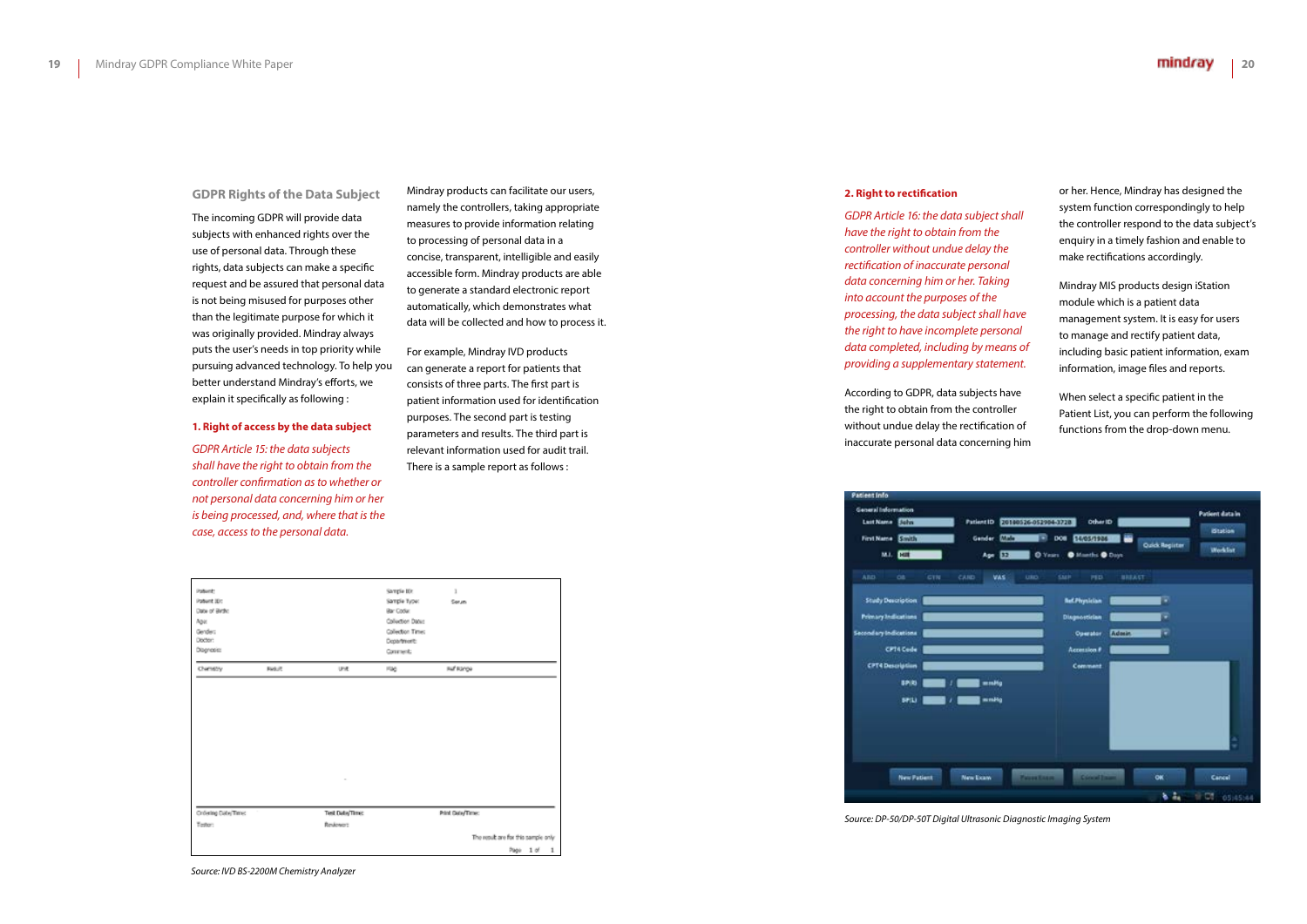#### **GDPR Rights of the Data Subject**

The incoming GDPR will provide data subjects with enhanced rights over the use of personal data. Through these rights, data subjects can make a specific request and be assured that personal data is not being misused for purposes other than the legitimate purpose for which it was originally provided. Mindray always puts the user's needs in top priority while pursuing advanced technology. To help you better understand Mindray's efforts, we explain it specifically as following :

#### **1. Right of access by the data subject**

*GDPR Article 15: the data subjects shall have the right to obtain from the controller confirmation as to whether or not personal data concerning him or her is being processed, and, where that is the case, access to the personal data.*

Mindray products can facilitate our users, namely the controllers, taking appropriate measures to provide information relating to processing of personal data in a concise, transparent, intelligible and easily accessible form. Mindray products are able to generate a standard electronic report automatically, which demonstrates what data will be collected and how to process it.

For example, Mindray IVD products can generate a report for patients that consists of three parts. The first part is patient information used for identification purposes. The second part is testing parameters and results. The third part is relevant information used for audit trail. There is a sample report as follows :

*Source: IVD BS-2200M Chemistry Analyzer*

#### **2. Right to rectification**

*GDPR Article 16: the data subject shall have the right to obtain from the controller without undue delay the rectification of inaccurate personal data concerning him or her. Taking into account the purposes of the processing, the data subject shall have the right to have incomplete personal data completed, including by means of providing a supplementary statement.*

According to GDPR, data subjects have the right to obtain from the controller without undue delay the rectification of inaccurate personal data concerning him





or her. Hence, Mindray has designed the system function correspondingly to help the controller respond to the data subject's enquiry in a timely fashion and enable to make rectifications accordingly.

Mindray MIS products design iStation module which is a patient data management system. It is easy for users to manage and rectify patient data, including basic patient information, exam information, image files and reports.

When select a specific patient in the Patient List, you can perform the following functions from the drop-down menu.

| $\overline{32}$          | Mile 3<br>DOI 54/05/1986<br>O Years O Munths O Days | <b>Quick Register</b> | <b>Workfor</b> |
|--------------------------|-----------------------------------------------------|-----------------------|----------------|
| <b>VAS</b><br><b>URD</b> | SMP<br>PED.                                         | <b><i>BREAST</i></b>  |                |
|                          | <b>Bef.Physician</b>                                | ¥                     |                |
|                          | <b>Disgnostician</b>                                | ÷                     |                |
|                          | Operator                                            | Admin.<br>٠           |                |
|                          | Accession #                                         |                       |                |
|                          | Comment                                             |                       |                |
| mHg                      |                                                     |                       |                |
| mH <sub>0</sub>          |                                                     |                       | ÷              |

*Source: DP-50/DP-50T Digital Ultrasonic Diagnostic Imaging System*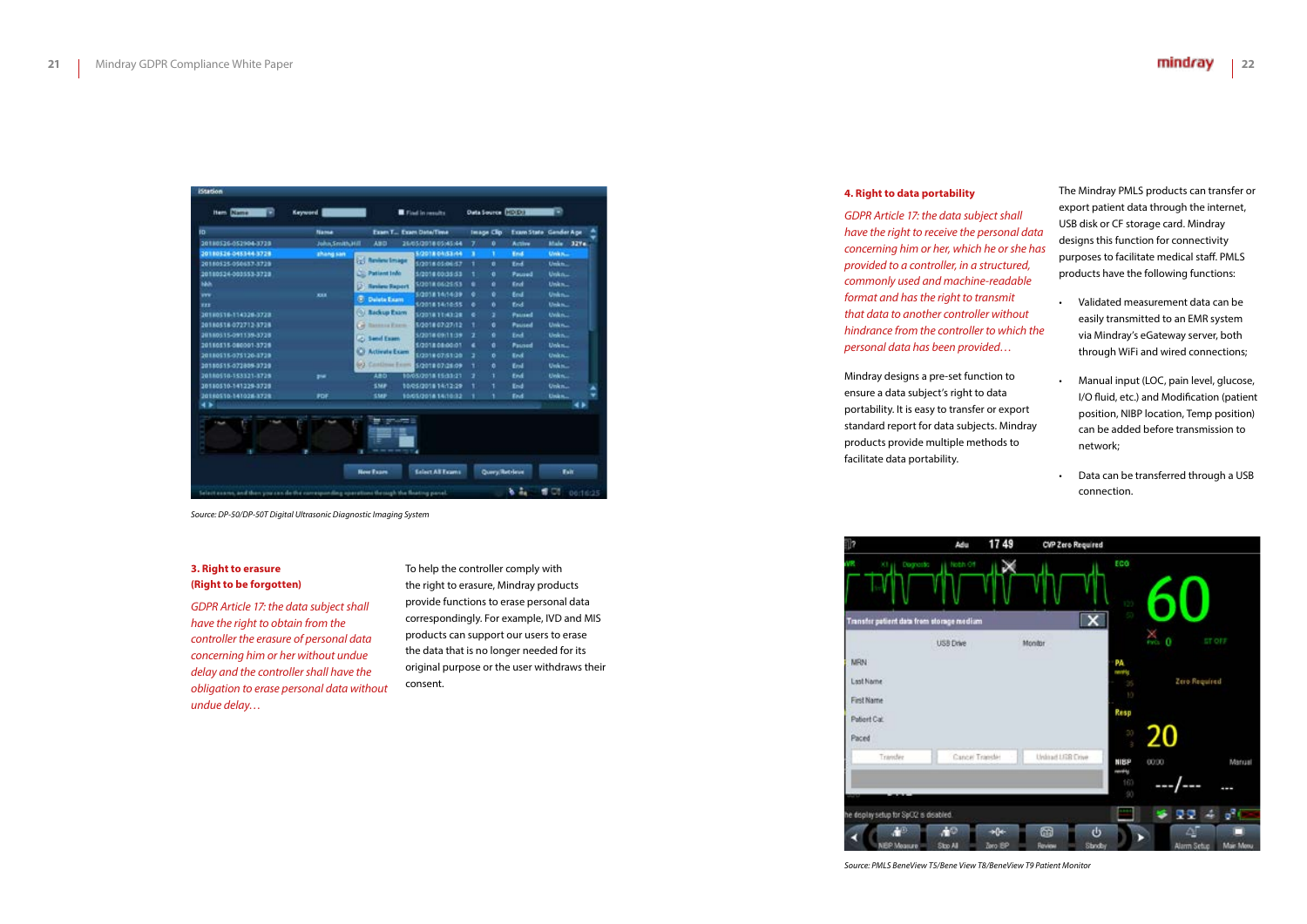#### **3. Right to erasure (Right to be forgotten)**

*GDPR Article 17: the data subject shall have the right to obtain from the controller the erasure of personal data concerning him or her without undue delay and the controller shall have the obligation to erase personal data without undue delay…*

#### mindray **22**

To help the controller comply with the right to erasure, Mindray products provide functions to erase personal data correspondingly. For example, IVD and MIS products can support our users to erase the data that is no longer needed for its original purpose or the user withdraws their consent.

| ID.                  | <b>Name</b>      | Exam T., Exam Date/Time      |                       |    | Image Clip:     | Exam State Gender Apr |             |      |
|----------------------|------------------|------------------------------|-----------------------|----|-----------------|-----------------------|-------------|------|
| 20180526-052904-3728 | John Smith Hill  | <b>ABD</b>                   | 26/05/2018 05:45:44   | Ŧ. | ۰               | Active                | Male:       | 3274 |
| 20180526-045344-3729 | <b>Shang san</b> |                              | 5/2018 04:53:44       | ٠  | ٠               | <b>Ked</b>            | UWAN        |      |
| 20180525-050637-3729 |                  | <b>Coll Review Image</b>     | 1/2018 05:06:57       | ٠  | n               | End                   | Unkn.       |      |
| 20180524-003553-3728 |                  | Patient Info                 | 5/2014 00:35:53       | ٠  | ۰               | Paused                | Unkn        |      |
| hàih                 |                  | <b>Reniew Report</b>         | 1201106-015           | ٠  | ŭ               | End                   | Unkn        |      |
| w                    | <b>KKK</b>       | <b>C</b> Delete Exam         | 5/2018 14/14:39       | ۰  | ۰               | <b>End</b>            | Unkn        |      |
| <b>EEE</b>           |                  |                              | 1/2018 14:10:55       | ٠  | ń               | Erick                 | Unkn.       |      |
| 20180516-114326-3723 |                  | <b>O. Backup Exam</b>        | 1/2018 11:43:28       | ٠  | ĭ               | Pained                | Uvikn       |      |
| 20180518-072713-3728 |                  | G)<br><b>Tassassa Excess</b> | 5/201807/27/12        | ٠  | e               | <b>Paused</b>         | Unkn.       |      |
| 20180315-091139-3728 |                  | <b>C. Send Exam.</b>         | 1/2018 09:11:39       | z  | ó               | End                   | Unkn.       |      |
| 20180515-080001-3729 |                  |                              | 5/2018 08:00:01       | ٠  | ۰               | Passed                | Unkn        |      |
| 20180515-075120-3729 |                  | o<br><b>Activate Exam</b>    | 1/2018 07:51:20       | э  | ñ               | End                   | Units.      |      |
| 20180515-072809-3729 |                  | <b>W.I. Continue Exam</b>    | 5/2010 07:26:09       |    | ō               | Eral                  | Unkn        |      |
| 20180510-153321-1729 | ,,,              | 480                          | 10/05/2018 15:33:21   | ,  | ı               | End                   | Unkn.       |      |
| 30180510-141229-3728 |                  | SMP                          | 10/05/2018 14:12:29   |    |                 | End                   | Unkn        |      |
| 20180510-141028-3729 | PDF              | SMP                          | 10/05/2018 14/10:32   |    |                 | End                   | Unkn.       |      |
| 4 み                  |                  |                              |                       |    |                 |                       |             |      |
| 1 Hours              |                  | ≡≡                           |                       |    |                 |                       |             |      |
|                      |                  | <b>Rew Fram</b>              | <b>Edent AT Frame</b> |    | Quary, Retrieve |                       | <b>Fair</b> |      |

*Source: DP-50/DP-50T Digital Ultrasonic Diagnostic Imaging System*

*Source: PMLS BeneView T5/Bene View T8/BeneView T9 Patient Monitor*

#### **4. Right to data portability**

*GDPR Article 17: the data subject shall have the right to receive the personal data concerning him or her, which he or she has provided to a controller, in a structured, commonly used and machine-readable format and has the right to transmit that data to another controller without hindrance from the controller to which the personal data has been provided…*

Mindray designs a pre-set function to ensure a data subject's right to data portability. It is easy to transfer or export standard report for data subjects. Mindray products provide multiple methods to facilitate data portability.



The Mindray PMLS products can transfer or export patient data through the internet, USB disk or CF storage card. Mindray designs this function for connectivity purposes to facilitate medical staff. PMLS products have the following functions:

• Validated measurement data can be easily transmitted to an EMR system via Mindray's eGateway server, both through WiFi and wired connections;

• Manual input (LOC, pain level, glucose, I/O fluid, etc.) and Modification (patient position, NIBP location, Temp position) can be added before transmission to network;

• Data can be transferred through a USB connection.